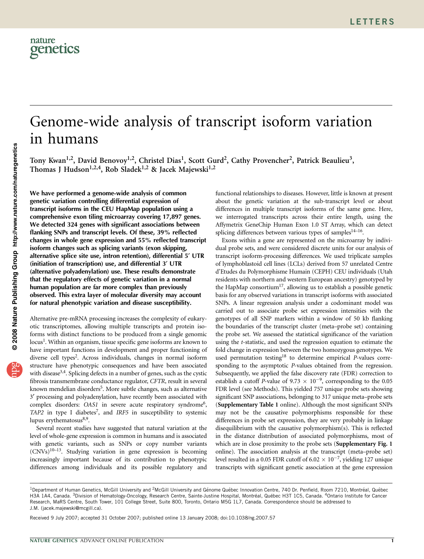# Genome-wide analysis of transcript isoform variation in humans

Tony Kwan<sup>1,2</sup>, David Benovoy<sup>1,2</sup>, Christel Dias<sup>1</sup>, Scott Gurd<sup>2</sup>, Cathy Provencher<sup>2</sup>, Patrick Beaulieu<sup>3</sup>, Thomas J Hudson<sup>1,2,4</sup>, Rob Sladek<sup>1,2</sup> & Jacek Majewski<sup>1,2</sup>

We have performed a genome-wide analysis of common genetic variation controlling differential expression of transcript isoforms in the CEU HapMap population using a comprehensive exon tiling microarray covering 17,897 genes. We detected 324 genes with significant associations between flanking SNPs and transcript levels. Of these, 39% reflected changes in whole gene expression and 55% reflected transcript isoform changes such as splicing variants (exon skipping, alternative splice site use, intron retention), differential 5' UTR (initiation of transcription) use, and differential 3¢ UTR (alternative polyadenylation) use. These results demonstrate that the regulatory effects of genetic variation in a normal human population are far more complex than previously observed. This extra layer of molecular diversity may account for natural phenotypic variation and disease susceptibility.

Alternative pre-mRNA processing increases the complexity of eukaryotic transcriptomes, allowing multiple transcripts and protein isoforms with distinct functions to be produced from a single genomic locus<sup>1</sup>. Within an organism, tissue specific gene isoforms are known to have important functions in development and proper functioning of diverse cell types<sup>2</sup>. Across individuals, changes in normal isoform structure have phenotypic consequences and have been associated with disease<sup>3,4</sup>. Splicing defects in a number of genes, such as the cystic fibrosis transmembrane conductance regulator, CFTR, result in several known mendelian disorders<sup>5</sup>. More subtle changes, such as alternative 3¢ processing and polyadenylation, have recently been associated with complex disorders: OAS1 in severe acute respiratory syndrome<sup>6</sup>, TAP2 in type I diabetes<sup>7</sup>, and IRF5 in susceptibility to systemic lupus erythematosus $8,9$ .

Several recent studies have suggested that natural variation at the level of whole-gene expression is common in humans and is associated with genetic variants, such as SNPs or copy number variants  $(CNVs)^{10-13}$ . Studying variation in gene expression is becoming increasingly important because of its contribution to phenotypic differences among individuals and its possible regulatory and functional relationships to diseases. However, little is known at present about the genetic variation at the sub-transcript level or about differences in multiple transcript isoforms of the same gene. Here, we interrogated transcripts across their entire length, using the Affymetrix GeneChip Human Exon 1.0 ST Array, which can detect splicing differences between various types of samples<sup>14-16</sup>.

Exons within a gene are represented on the microarray by individual probe sets, and were considered discrete units for our analysis of transcript isoform-processing differences. We used triplicate samples of lymphoblastoid cell lines (LCLs) derived from 57 unrelated Centre d'Etudes du Polymorphisme Humain (CEPH) CEU individuals (Utah residents with northern and western European ancestry) genotyped by the HapMap consortium<sup>17</sup>, allowing us to establish a possible genetic basis for any observed variations in transcript isoforms with associated SNPs. A linear regression analysis under a codominant model was carried out to associate probe set expression intensities with the genotypes of all SNP markers within a window of 50 kb flanking the boundaries of the transcript cluster (meta–probe set) containing the probe set. We assessed the statistical significance of the variation using the t-statistic, and used the regression equation to estimate the fold change in expression between the two homozygous genotypes. We used permutation testing<sup>[18](#page-6-0)</sup> to determine empirical *P*-values corresponding to the asymptotic P-values obtained from the regression. Subsequently, we applied the false discovery rate (FDR) correction to establish a cutoff P-value of 9.73  $\times$  10<sup>-9</sup>, corresponding to the 0.05 FDR level (see Methods). This yielded 757 unique probe sets showing significant SNP associations, belonging to 317 unique meta–probe sets (Supplementary Table 1 online). Although the most significant SNPs may not be the causative polymorphisms responsible for these differences in probe set expression, they are very probably in linkage disequilibrium with the causative polymorphism(s). This is reflected in the distance distribution of associated polymorphisms, most of which are in close proximity to the probe sets (Supplementary Fig. 1 online). The association analysis at the transcript (meta–probe set) level resulted in a 0.05 FDR cutoff of 6.02  $\times$  10<sup>-7</sup>, yielding 127 unique transcripts with significant genetic association at the gene expression

Received 9 July 2007; accepted 31 October 2007; published online 13 January 2008; [doi:10.1038/ng.2007.57](http://www.nature.com/doifinder/10.1038/ng.2007.57)

<sup>&</sup>lt;sup>1</sup>Department of Human Genetics, McGill University and <sup>2</sup>McGill University and Génome Québec Innovation Centre, 740 Dr. Penfield, Room 7210, Montréal, Québec H3A 1A4, Canada. <sup>3</sup>Division of Hematology-Oncology, Research Centre, Sainte-Justine Hospital, Montréal, Québec H3T 1C5, Canada. <sup>4</sup>Ontario Institute for Cancer Research, MaRS Centre, South Tower, 101 College Street, Suite 800, Toronto, Ontario M5G 1L7, Canada. Correspondence should be addressed to J.M. ([jacek.majewski@mcgill.ca](mailto:jacek.majewski@mcgill.ca)).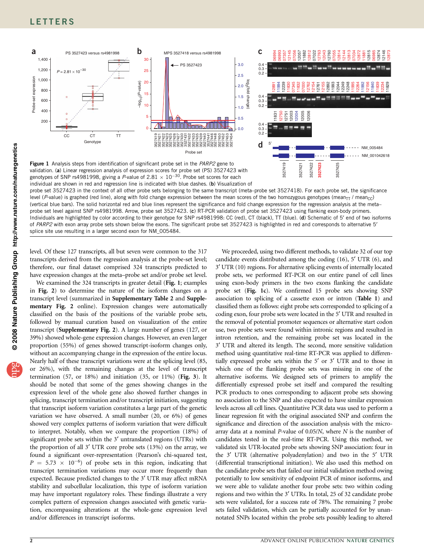<span id="page-1-0"></span>

Figure 1 Analysis steps from identification of significant probe set in the PARP2 gene to validation. (a) Linear regression analysis of expression scores for probe set (PS) 3527423 with genotypes of SNP rs4981998, giving a P-value of 2.81  $\times$   $10^{-30}$ . Probe set scores for each individual are shown in red and regression line is indicated with blue dashes. (b) Visualization of

probe set 3527423 in the context of all other probe sets belonging to the same transcript (meta–probe set 3527418). For each probe set, the significance level (P-value) is graphed (red line), along with fold change expression between the mean scores of the two homozygous genotypes (mean<sub>TT</sub> / mean<sub>CC</sub>) (vertical blue bars). The solid horizontal red and blue lines represent the significance and fold change expression for the regression analysis at the meta– probe set level against SNP rs4981998. Arrow, probe set 3527423. (c) RT-PCR validation of probe set 3527423 using flanking exon-body primers. Individuals are highlighted by color according to their genotype for SNP rs4981998: CC (red), CT (black), TT (blue). (d) Schematic of 5' end of two isoforms of PARP2 with exon array probe sets shown below the exons. The significant probe set 3527423 is highlighted in red and corresponds to alternative 5' splice site use resulting in a larger second exon for NM\_005484.

level. Of these 127 transcripts, all but seven were common to the 317 transcripts derived from the regression analysis at the probe-set level; therefore, our final dataset comprised 324 transcripts predicted to have expression changes at the meta–probe set and/or probe set level.

We examined the 324 transcripts in greater detail (Fig. 1; examples in [Fig. 2](#page-2-0)) to determine the nature of the isoform changes on a transcript level (summarized in Supplementary Table 2 and Supplementary Fig. 2 online). Expression changes were automatically classified on the basis of the positions of the variable probe sets, followed by manual curation based on visualization of the entire transcript (Supplementary Fig. 2). A large number of genes (127, or 39%) showed whole-gene expression changes. However, an even larger proportion (55%) of genes showed transcript-isoform changes only, without an accompanying change in the expression of the entire locus. Nearly half of these transcript variations were at the splicing level (85, or 26%), with the remaining changes at the level of transcript termination (57, or 18%) and initiation (35, or 11%) ([Fig. 3](#page-2-0)). It should be noted that some of the genes showing changes in the expression level of the whole gene also showed further changes in splicing, transcript termination and/or transcript initiation, suggesting that transcript isoform variation constitutes a large part of the genetic variation we have observed. A small number (20, or 6%) of genes showed very complex patterns of isoform variation that were difficult to interpret. Notably, when we compare the proportion (18%) of significant probe sets within the 3' untranslated regions (UTRs) with the proportion of all 3' UTR core probe sets (13%) on the array, we found a significant over-representation (Pearson's chi-squared test,  $P = 5.73 \times 10^{-6}$  of probe sets in this region, indicating that transcript termination variations may occur more frequently than expected. Because predicted changes to the 3<sup>'</sup> UTR may affect mRNA stability and subcellular localization, this type of isoform variation may have important regulatory roles. These findings illustrate a very complex pattern of expression changes associated with genetic variation, encompassing alterations at the whole-gene expression level and/or differences in transcript isoforms.

We proceeded, using two different methods, to validate 32 of our top candidate events distributed among the coding (16), 5' UTR (6), and 3¢ UTR (10) regions. For alternative splicing events of internally located probe sets, we performed RT-PCR on our entire panel of cell lines using exon-body primers in the two exons flanking the candidate probe set (Fig. 1c). We confirmed 15 probe sets showing SNP association to splicing of a cassette exon or intron ([Table 1](#page-3-0)) and classified them as follows: eight probe sets corresponded to splicing of a coding exon, four probe sets were located in the 5' UTR and resulted in the removal of potential promoter sequences or alternative start codon use, two probe sets were found within intronic regions and resulted in intron retention, and the remaining probe set was located in the 3¢ UTR and altered its length. The second, more sensitive validation method using quantitative real-time RT-PCR was applied to differentially expressed probe sets within the 5' or 3' UTR and to those in which one of the flanking probe sets was missing in one of the alternative isoforms. We designed sets of primers to amplify the differentially expressed probe set itself and compared the resulting PCR products to ones corresponding to adjacent probe sets showing no association to the SNP and also expected to have similar expression levels across all cell lines. Quantitative PCR data was used to perform a linear regression fit with the original associated SNP and confirm the significance and direction of the association analysis with the microarray data at a nominal P-value of 0.05/N, where N is the number of candidates tested in the real-time RT-PCR. Using this method, we validated six UTR-located probe sets showing SNP association: four in the 3' UTR (alternative polyadenylation) and two in the 5' UTR (differential transcriptional initiation). We also used this method on the candidate probe sets that failed our initial validation method owing potentially to low sensitivity of endpoint PCR of minor isoforms, and we were able to validate another four probe sets: two within coding regions and two within the 3¢ UTRs. In total, 25 of 32 candidate probe sets were validated, for a success rate of 78%. The remaining 7 probe sets failed validation, which can be partially accounted for by unannotated SNPs located within the probe sets possibly leading to altered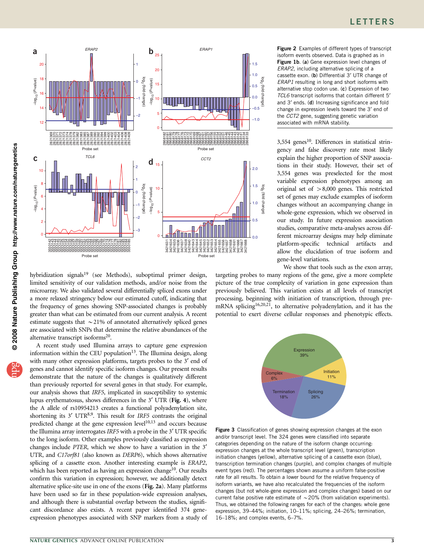<span id="page-2-0"></span>

hybridization signals<sup>19</sup> (see Methods), suboptimal primer design, limited sensitivity of our validation methods, and/or noise from the microarray. We also validated several differentially spliced exons under a more relaxed stringency below our estimated cutoff, indicating that the frequency of genes showing SNP-associated changes is probably greater than what can be estimated from our current analysis. A recent estimate suggests that  $\sim$  21% of annotated alternatively spliced genes are associated with SNPs that determine the relative abundances of the alternative transcript isoforms<sup>20</sup>.

A recent study used Illumina arrays to capture gene expression information within the CEU population<sup>[13](#page-6-0)</sup>. The Illumina design, along with many other expression platforms, targets probes to the 3' end of genes and cannot identify specific isoform changes. Our present results demonstrate that the nature of the changes is qualitatively different than previously reported for several genes in that study. For example, our analysis shows that IRF5, implicated in susceptibility to systemic lupus erythematosus, shows differences in the 3' UTR ([Fig. 4](#page-4-0)), where the A allele of rs10954213 creates a functional polyadenylation site, shortening its  $3'$  UTR<sup>8,9</sup>. This result for IRF5 contrasts the original predicted change at the gene expression level<sup>[10,13](#page-5-0)</sup> and occurs because the Illumina array interrogates IRF5 with a probe in the 3' UTR specific to the long isoform. Other examples previously classified as expression changes include PTER, which we show to have a variation in the 3<sup>'</sup> UTR, and C17orf81 (also known as DERP6), which shows alternative splicing of a cassette exon. Another interesting example is ERAP2, which has been reported as having an expression change<sup>10</sup>. Our results confirm this variation in expression; however, we additionally detect alternative splice-site use in one of the exons (Fig. 2a). Many platforms have been used so far in these population-wide expression analyses, and although there is substantial overlap between the studies, significant discordance also exists. A recent paper identified 374 geneexpression phenotypes associated with SNP markers from a study of Figure 2 Examples of different types of transcript isoform events observed. Data is graphed as in [Figure 1b](#page-1-0). (a) Gene expression level changes of ERAP2, including alternative splicing of a cassette exon. (b) Differential 3' UTR change of ERAP1 resulting in long and short isoforms with alternative stop codon use. (c) Expression of two TCL6 transcript isoforms that contain different 5<sup>t</sup> and 3' ends. (d) Increasing significance and fold change in expression levels toward the 3' end of the CCT2 gene, suggesting genetic variation associated with mRNA stability.

 $3,554$  genes<sup>10</sup>. Differences in statistical stringency and false discovery rate most likely explain the higher proportion of SNP associations in their study. However, their set of 3,554 genes was preselected for the most variable expression phenotypes among an original set of  $>8,000$  genes. This restricted set of genes may exclude examples of isoform changes without an accompanying change in whole-gene expression, which we observed in our study. In future expression association studies, comparative meta-analyses across different microarray designs may help eliminate platform-specific technical artifacts and allow the elucidation of true isoform and gene-level variations.

We show that tools such as the exon array, targeting probes to many regions of the gene, give a more complete picture of the true complexity of variation in gene expression than previously believed. This variation exists at all levels of transcript processing, beginning with initiation of transcription, through premRNA splicing<sup>16,20,21</sup>, to alternative polyadenylation, and it has the potential to exert diverse cellular responses and phenotypic effects.



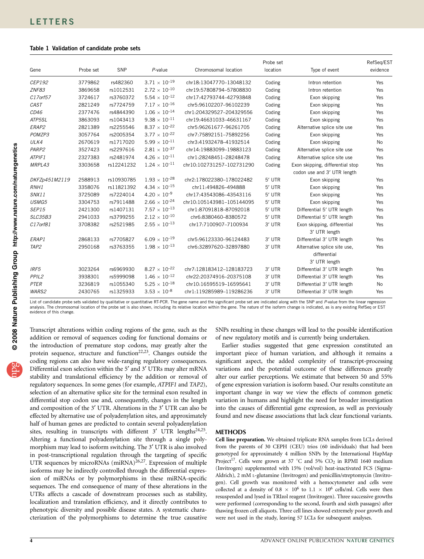### <span id="page-3-0"></span>Table 1 Validation of candidate probe sets

| Gene              | Probe set | SNP        | $P$ -value                      | Chromosomal location      | Probe set<br>location | Type of event                                | RefSeq/EST<br>evidence |
|-------------------|-----------|------------|---------------------------------|---------------------------|-----------------------|----------------------------------------------|------------------------|
| CEP192            | 3779862   | rs482360   | $3.71 \times 10^{-19}$          | chr18:13047770-13048132   | Coding                | Intron retention                             | Yes                    |
| ZNF83             | 3869658   | rs1012531  | $2.72 \times 10^{-10}$          | chr19:57808794-57808830   | Coding                | Intron retention                             | Yes                    |
| C17orf57          | 3724617   | rs3760372  | $5.54 \times 10^{-12}$          | chr17:42793744-42793848   | Coding                | Exon skipping                                | Yes                    |
| CAST              | 2821249   | rs7724759  | $7.17 \times 10^{-16}$          | chr5:96102207-96102239    | Coding                | Exon skipping                                | Yes                    |
| CD46              | 2377476   | rs4844390  | $1.06 \times 10^{-14}$          | chr1:204329527-204329556  | Coding                | Exon skipping                                | Yes                    |
| ATP5SL            | 3863093   | rs1043413  | $9.38 \times 10^{-11}$          | chr19:46631033-46631167   | Coding                | Exon skipping                                | Yes                    |
| ERAP2             | 2821389   | rs2255546  | $8.37 \times 10^{-22}$          | chr5:96261677-96261705    | Coding                | Alternative splice site use                  | Yes                    |
| POMZP3            | 3057764   | rs2005354  | $3.77 \times 10^{-22}$          | chr7:75892151-75892256    | Coding                | Exon skipping                                | Yes                    |
| ULK4              | 2670619   | rs1717020  | $5.99 \times 10^{-11}$          | chr3:41932478-41932514    | Coding                | Exon skipping                                | <b>No</b>              |
| PARP2             | 3527423   | rs2297616  | $2.81 \times 10^{-37}$          | chr14:19883099-19883123   | Coding                | Alternative splice site use                  | Yes                    |
| ATPIF1            | 2327383   | rs2481974  | $4.26 \times 10^{-11}$          | chr1:28248451-28248478    | Coding                | Alternative splice site use                  | Yes                    |
| MRPL43            | 3303658   | rs12241232 | $1.24 \times 10^{-11}$          | chr10:102731257-102731290 | Coding                | Exon skipping, differential stop             | Yes                    |
|                   |           |            |                                 |                           |                       | codon use and 3' UTR length                  |                        |
| DKFZp451M2119     | 2588913   | rs10930785 | $1.93 \times 10^{-28}$          | chr2:178022380-178022482  | 5' UTR                | Exon skipping                                | Yes                    |
| RNH1              | 3358076   | rs11821392 | 4.34 $\times$ 10 <sup>-15</sup> | chr11:494826-494888       | 5' UTR                | Exon skipping                                | Yes                    |
| <b>SNX11</b>      | 3725089   | rs7224014  | $4.20 \times 10^{-9}$           | chr17:43543086-43543116   | $5'$ UTR              | Exon skipping                                | Yes                    |
| USMG5             | 3304753   | rs7911488  | $2.66 \times 10^{-24}$          | chr10:105143981-105144095 | 5' UTR                | Exon skipping                                | Yes                    |
| SEP15             | 2421300   | rs1407131  | $7.57 \times 10^{-13}$          | chr1:87091818-87092018    | 5' UTR                | Differential 5' UTR length                   | Yes                    |
| SLC35B3           | 2941033   | rs3799255  | $2.12 \times 10^{-10}$          | chr6:8380460-8380572      | 5' UTR                | Differential 5' UTR length                   | Yes                    |
| C17orf81          | 3708382   | rs2521985  | $2.55 \times 10^{-13}$          | chr17:7100907-7100934     | 3' UTR                | Exon skipping, differential<br>3' UTR length | Yes                    |
| ERAP1             | 2868133   | rs7705827  | $6.09 \times 10^{-19}$          | chr5:96123330-96124483    | 3' UTR                | Differential 3' UTR length                   | Yes                    |
| TAP <sub>2</sub>  | 2950168   | rs3763355  | $1.98 \times 10^{-13}$          | chr6:32897620-32897880    | 3' UTR                | Alternative splice site use,                 | Yes                    |
|                   |           |            |                                 |                           |                       | differential                                 |                        |
|                   |           |            |                                 |                           |                       | 3' UTR length                                |                        |
| IRF5              | 3023264   | rs6969930  | $8.27 \times 10^{-22}$          | chr7:128183412-128183723  | 3' UTR                | Differential 3' UTR length                   | Yes                    |
| PPIL <sub>2</sub> | 3938301   | rs5999098  | $1.46 \times 10^{-12}$          | chr22:20374916-20375108   | 3' UTR                | Differential 3' UTR length                   | Yes                    |
| <b>PTER</b>       | 3236819   | rs1055340  | $5.25 \times 10^{-18}$          | chr10:16595519-16595641   | 3' UTR                | Differential 3' UTR length                   | No                     |
| <b>WARS2</b>      | 2430765   | rs1325933  | $3.53 \times 10^{-8}$           | chr1:119285989-119286236  | 3' UTR                | Differential 3' UTR length                   | Yes                    |

List of candidate probe sets validated by qualitative or quantitative RT-PCR. The gene name and the significant probe set are indicated along with the SNP and P-value from the linear regression analysis. The chromosomal location of the probe set is also shown, including its relative location within the gene. The nature of the isoform change is indicated, as is any existing RefSeq or EST evidence of this change.

Transcript alterations within coding regions of the gene, such as the addition or removal of sequences coding for functional domains or the introduction of premature stop codons, may greatly alter the protein sequence, structure and function<sup>22,23</sup>. Changes outside the coding regions can also have wide-ranging regulatory consequences. Differential exon selection within the 5' and 3' UTRs may alter mRNA stability and translational efficiency by the addition or removal of regulatory sequences. In some genes (for example, ATPIF1 and TAP2), selection of an alternative splice site for the terminal exon resulted in differential stop codon use and, consequently, changes in the length and composition of the 3' UTR. Alterations in the 3' UTR can also be effected by alternative use of polyadenylation sites, and approximately half of human genes are predicted to contain several polyadenylation sites, resulting in transcripts with different 3' UTR lengths<sup>24,25</sup>. Altering a functional polyadenylation site through a single polymorphism may lead to isoform switching. The 3¢ UTR is also involved in post-transcriptional regulation through the targeting of specific UTR sequences by microRNAs (miRNA)<sup>26,27</sup>. Expression of multiple isoforms may be indirectly controlled through the differential expression of miRNAs or by polymorphisms in these miRNA-specific sequences. The end consequence of many of these alterations in the UTRs affects a cascade of downstream processes such as stability, localization and translation efficiency, and it directly contributes to phenotypic diversity and possible disease states. A systematic characterization of the polymorphisms to determine the true causative

SNPs resulting in these changes will lead to the possible identification of new regulatory motifs and is currently being undertaken.

Earlier studies suggested that gene expression constituted an important piece of human variation, and although it remains a significant aspect, the added complexity of transcript-processing variations and the potential outcome of these differences greatly alter our earlier perceptions. We estimate that between 50 and 55% of gene expression variation is isoform based. Our results constitute an important change in way we view the effects of common genetic variation in humans and highlight the need for broader investigation into the causes of differential gene expression, as well as previously found and new disease associations that lack clear functional variants.

## **METHODS**

Cell line preparation. We obtained triplicate RNA samples from LCLs derived from the parents of 30 CEPH (CEU) trios (60 individuals) that had been genotyped for approximately 4 million SNPs by the International HapMap Project<sup>[17](#page-6-0)</sup>. Cells were grown at 37 °C and 5%  $CO<sub>2</sub>$  in RPMI 1640 medium (Invitrogen) supplemented with 15% (vol/vol) heat-inactivated FCS (Sigma-Aldrich), 2 mM L-glutamine (Invitrogen) and penicillin/streptomycin (Invitrogen). Cell growth was monitored with a hemocytometer and cells were collected at a density of  $0.8 \times 10^6$  to  $1.1 \times 10^6$  cells/ml. Cells were then resuspended and lysed in TRIzol reagent (Invitrogen). Three successive growths were performed (corresponding to the second, fourth and sixth passages) after thawing frozen cell aliquots. Three cell lines showed extremely poor growth and were not used in the study, leaving 57 LCLs for subsequent analyses.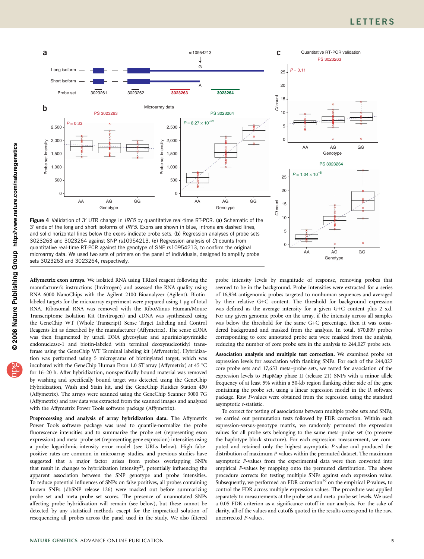# **LETTERS**

@ 2008 Nature Publishing Group http://www.nature.com/naturegenetics **© 2008 Nature Publishing Group http://www.nature.com/naturegenetics**

<span id="page-4-0"></span>

3' ends of the long and short isoforms of IRF5. Exons are shown in blue, introns are dashed lines, and solid horizontal lines below the exons indicate probe sets. (b) Regression analyses of probe sets 3023263 and 3023264 against SNP rs10954213. (c) Regression analysis of Ct counts from quantitative real-time RT-PCR against the genotype of SNP rs10954213, to confirm the original microarray data. We used two sets of primers on the panel of individuals, designed to amplify probe sets 3023263 and 3023264, respectively.

Affymetrix exon arrays. We isolated RNA using TRIzol reagent following the manufacturer's instructions (Invitrogen) and assessed the RNA quality using RNA 6000 NanoChips with the Agilent 2100 Bioanalyzer (Agilent). Biotinlabeled targets for the microarray experiment were prepared using 1 µg of total RNA. Ribosomal RNA was removed with the RiboMinus Human/Mouse Transcriptome Isolation Kit (Invitrogen) and cDNA was synthesized using the GeneChip WT (Whole Transcript) Sense Target Labeling and Control Reagents kit as described by the manufacturer (Affymetrix). The sense cDNA was then fragmented by uracil DNA glycosylase and apurinic/apyrimidic endonuclease-1 and biotin-labeled with terminal deoxynucleotidyl transferase using the GeneChip WT Terminal labeling kit (Affymetrix). Hybridization was performed using 5 micrograms of biotinylated target, which was incubated with the GeneChip Human Exon 1.0 ST array (Affymetrix) at 45 °C for 16–20 h. After hybridization, nonspecifically bound material was removed by washing and specifically bound target was detected using the GeneChip Hybridization, Wash and Stain kit, and the GeneChip Fluidics Station 450 (Affymetrix). The arrays were scanned using the GeneChip Scanner 3000 7G (Affymetrix) and raw data was extracted from the scanned images and analyzed with the Affymetrix Power Tools software package (Affymetrix).

Preprocessing and analysis of array hybridization data. The Affymetrix Power Tools software package was used to quantile-normalize the probe fluorescence intensities and to summarize the probe set (representing exon expression) and meta–probe set (representing gene expression) intensities using a probe logarithmic-intensity error model (see URLs below). High falsepositive rates are common in microarray studies, and previous studies have suggested that a major factor arises from probes overlapping SNPs that result in changes to hybridization intensity<sup>28</sup>, potentially influencing the apparent association between the SNP genotype and probe intensities. To reduce potential influences of SNPs on false positives, all probes containing known SNPs (dbSNP release 126) were masked out before summarizing probe set and meta–probe set scores. The presence of unannotated SNPs affecting probe hybridization will remain (see below), but these cannot be detected by any statistical methods except for the impractical solution of resequencing all probes across the panel used in the study. We also filtered probe intensity levels by magnitude of response, removing probes that seemed to be in the background. Probe intensities were extracted for a series of 16,934 antigenomic probes targeted to nonhuman sequences and averaged by their relative G+C content. The threshold for background expression was defined as the average intensity for a given G+C content plus 2 s.d. For any given genomic probe on the array, if the intensity across all samples was below the threshold for the same G+C percentage, then it was considered background and masked from the analysis. In total, 670,809 probes corresponding to core annotated probe sets were masked from the analysis, reducing the number of core probe sets in the analysis to 244,027 probe sets.

AA AG

**Genotype** 

GG

5

 $\Omega$ 

Association analysis and multiple test correction. We examined probe set expression levels for association with flanking SNPs. For each of the 244,027 core probe sets and 17,653 meta–probe sets, we tested for association of the expression levels to HapMap phase II (release 21) SNPs with a minor allele frequency of at least 5% within a 50-kb region flanking either side of the gene containing the probe set, using a linear regression model in the R software package. Raw P-values were obtained from the regression using the standard asymptotic t-statistic.

To correct for testing of associations between multiple probe sets and SNPs, we carried out permutation tests followed by FDR correction. Within each expression-versus-genotype matrix, we randomly permuted the expression values for all probe sets belonging to the same meta–probe set (to preserve the haplotype block structure). For each expression measurement, we computed and retained only the highest asymptotic P-value and produced the distribution of maximum P-values within the permuted dataset. The maximum asymptotic P-values from the experimental data were then converted into empirical P-values by mapping onto the permuted distribution. The above procedure corrects for testing multiple SNPs against each expression value. Subsequently, we performed an FDR correction<sup>[29](#page-6-0)</sup> on the empirical  $P$ -values, to control the FDR across multiple expression values. The procedure was applied separately to measurements at the probe set and meta–probe set levels. We used a 0.05 FDR criterion as a significance cutoff in our analysis. For the sake of clarity, all of the values and cutoffs quoted in the results correspond to the raw, uncorrected P-values.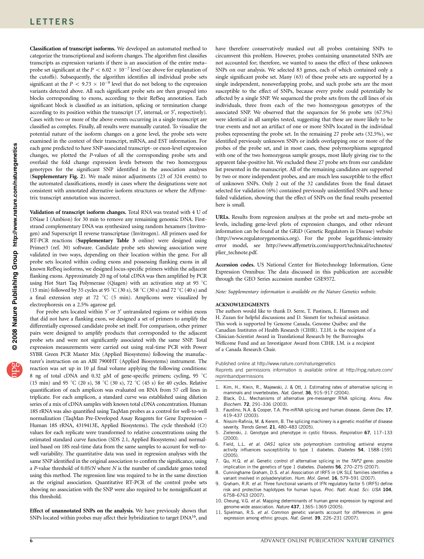<span id="page-5-0"></span>Classification of transcript isoforms. We developed an automated method to categorize the transcriptional and isoform changes. The algorithm first classifies transcripts as expression variants if there is an association of the entire meta– probe set significant at the  $P < 6.02 \times 10^{-7}$  level (see above for explanation of the cutoffs). Subsequently, the algorithm identifies all individual probe sets significant at the  $P < 9.73 \times 10^{-9}$  level that do not belong to the expression variants detected above. All such significant probe sets are then grouped into blocks corresponding to exons, according to their RefSeq annotation. Each significant block is classified as an initiation, splicing or termination change according to its position within the transcript (3', internal, or 5', respectively). Cases with two or more of the above events occurring in a single transcript are classified as complex. Finally, all results were manually curated. To visualize the potential nature of the isoform changes on a gene level, the probe sets were examined in the context of their transcript, mRNA, and EST information. For each gene predicted to have SNP-associated transcript- or exon-level expression changes, we plotted the P-values of all the corresponding probe sets and overlaid the fold change expression levels between the two homozygous genotypes for the significant SNP identified in the association analyses (Supplementary Fig. 2). We made minor adjustments (23 of 324 events) to the automated classifications, mostly in cases where the designations were not consistent with annotated alternative isoform structures or where the Affymetrix transcript annotation was incorrect.

Validation of transcript isoform changes. Total RNA was treated with 4 U of DNase I (Ambion) for 30 min to remove any remaining genomic DNA. Firststrand complementary DNA was synthesized using random hexamers (Invitrogen) and Superscript II reverse transcriptase (Invitrogen). All primers used for RT-PCR reactions (Supplementary Table 3 online) were designed using Primer3 (ref. 30) software. Candidate probe sets showing association were validated in two ways, depending on their location within the gene. For all probe sets located within coding exons and possessing flanking exons in all known RefSeq isoforms, we designed locus-specific primers within the adjacent flanking exons. Approximately 20 ng of total cDNA was then amplified by PCR using Hot Start Taq Polymerase (Qiagen) with an activation step at 95 °C (15 min) followed by 35 cycles at 95 °C (30 s), 58 °C (30 s) and 72 °C (40 s) and a final extension step at 72  $°C$  (5 min). Amplicons were visualized by electrophoresis on a 2.5% agarose gel.

For probe sets located within 5' or 3' untranslated regions or within exons that did not have a flanking exon, we designed a set of primers to amplify the differentially expressed candidate probe set itself. For comparison, other primer pairs were designed to amplify products that corresponded to the adjacent probe sets and were not significantly associated with the same SNP. Total expression measurements were carried out using real-time PCR with Power SYBR Green PCR Master Mix (Applied Biosystems) following the manufacturer's instruction on an ABI 7900HT (Applied Biosystems) instrument. The reaction was set up in 10 µl final volume applying the following conditions: 8 ng of total cDNA and 0.32 µM of gene-specific primers; cycling, 95 °C (15 min) and 95 °C (20 s), 58 °C (30 s), 72 °C (45 s) for 40 cycles. Relative quantification of each amplicon was evaluated on RNA from 57 cell lines in triplicate. For each amplicon, a standard curve was established using dilution series of a mix of cDNA samples with known total cDNA concentration. Human 18S rRNA was also quantified using TaqMan probes as a control for well-to-well normalization (TaqMan Pre-Developed Assay Reagents for Gene Expression – Human 18S rRNA, 4319413E, Applied Biosystems). The cycle threshold (Ct) values for each replicate were transformed to relative concentrations using the estimated standard curve function (SDS 2.1, Applied Biosystems) and normalized based on 18S real-time data from the same samples to account for well-towell variability. The quantitative data was used in regression analyses with the same SNP identified in the original association to confirm the significance, using a P-value threshold of 0.05/N where N is the number of candidate genes tested using this method. The regression line was required to be in the same direction as the original association. Quantitative RT-PCR of the control probe sets showing no association with the SNP were also required to be nonsignificant at this threshold.

Effect of unannotated SNPs on the analysis. We have previously shown that SNPs located within probes may affect their hybridization to target DNA<sup>[16](#page-6-0)</sup>, and have therefore conservatively masked out all probes containing SNPs to circumvent this problem. However, probes containing unannotated SNPs are not accounted for; therefore, we wanted to assess the effect of these unknown SNPs on our analysis. We selected 83 genes, each of which contained only a single significant probe set. Many (63) of these probe sets are supported by a single independent, nonoverlapping probe, and such probe sets are the most susceptible to the effect of SNPs, because every probe could potentially be affected by a single SNP. We sequenced the probe sets from the cell lines of six individuals, three from each of the two homozygous genotypes of the associated SNP. We observed that the sequences for 56 probe sets (67.5%) were identical in all samples tested, suggesting that these are more likely to be true events and not an artifact of one or more SNPs located in the individual probes representing the probe set. In the remaining 27 probe sets (32.5%), we identified previously unknown SNPs or indels overlapping one or more of the probes of the probe set, and in most cases, these polymorphisms segregated with one of the two homozygous sample groups, most likely giving rise to the apparent false-positive hit. We excluded these 27 probe sets from our candidate list presented in the manuscript. All of the remaining candidates are supported by two or more independent probes, and are much less susceptible to the effect of unknown SNPs. Only 2 out of the 32 candidates from the final dataset selected for validation (6%) contained previously unidentified SNPs and hence failed validation, showing that the effect of SNPs on the final results presented here is small.

URLs. Results from regression analyses at the probe set and meta–probe set levels, including gene-level plots of expression changes, and other relevant information can be found at the GRiD (Genetic Regulators in Disease) website ([http://www.regulatorygenomics.org\)](http://www.regulatorygenomics.org). For the probe logarithmic-intensity error model, see [http://www.affymetrix.com/support/technical/technotes/](http://www.affymetrix.com/support/technical/technotes/plier_technote.pdf) [plier\\_technote.pdf](http://www.affymetrix.com/support/technical/technotes/plier_technote.pdf).

Accession codes. US National Center for Biotechnology Information, Gene Expression Omnibus: The data discussed in this publication are accessible through the GEO Series accession number GSE9372.

Note: Supplementary information is available on the [Nature Genetics](http://www.nature.com/naturegenetics) website.

#### ACKNOWLEDGMENTS

The authors would like to thank D. Serre, T. Pastinen, E. Harmsen and H. Zuzan for helpful discussions and D. Sinnett for technical assistance. This work is supported by Genome Canada, Genome Québec and the Canadian Institutes of Health Research (CIHR). T.J.H. is the recipient of a Clinician-Scientist Award in Translational Research by the Burroughs Wellcome Fund and an Investigator Award from CIHR. J.M. is a recipient of a Canada Research Chair.

Published online at<http://www.nature.com/naturegenetics>

Reprints and permissions information is available online at [http://npg.nature.com/](http://npg.nature.com/reprintsandpermissions) [reprintsandpermissions](http://npg.nature.com/reprintsandpermissions)

- Kim, H., Klein, R., Majewski, J. & Ott, J. Estimating rates of alternative splicing in mammals and invertebrates. Nat. Genet. 36, 915-917 (2004).
- Black, D.L. Mechanisms of alternative pre-messenger RNA splicing. Annu. Rev. Biochem. 72, 291–336 (2003).
- 3. Faustino, N.A. & Cooper, T.A. Pre-mRNA splicing and human disease. Genes Dev. 17, 419–437 (2003).
- 4. Nissim-Rafinia, M. & Kerem, B. The splicing machinery is a genetic modifier of disease severity. Trends Genet. 21, 480-483 (2005).
- 5. Zielenski, J. Genotype and phenotype in cystic fibrosis. Respiration 67, 117–133 (2000).
- 6. Field, L.L. et al. OAS1 splice site polymorphism controlling antiviral enzyme activity influences susceptibility to type 1 diabetes. Diabetes 54, 1588-1591 (2005).
- 7. Qu, H.Q. et al. Genetic control of alternative splicing in the TAP2 gene: possible implication in the genetics of type 1 diabetes. Diabetes 56, 270-275 (2007).
- 8. Cunninghame Graham, D.S. et al. Association of IRF5 in UK SLE families identifies a variant involved in polyadenylation. Hum. Mol. Genet. 16, 579-591 (2007).
- 9. Graham, R.R. et al. Three functional variants of IFN regulatory factor 5 (IRF5) define risk and protective haplotypes for human lupus. Proc. Natl. Acad. Sci. USA 104, 6758–6763 (2007).
- 10. Cheung, V.G. et al. Mapping determinants of human gene expression by regional and genome-wide association. Nature 437, 1365–1369 (2005).
- 11. Spielman, R.S. et al. Common genetic variants account for differences in gene expression among ethnic groups. Nat. Genet. 39, 226-231 (2007).